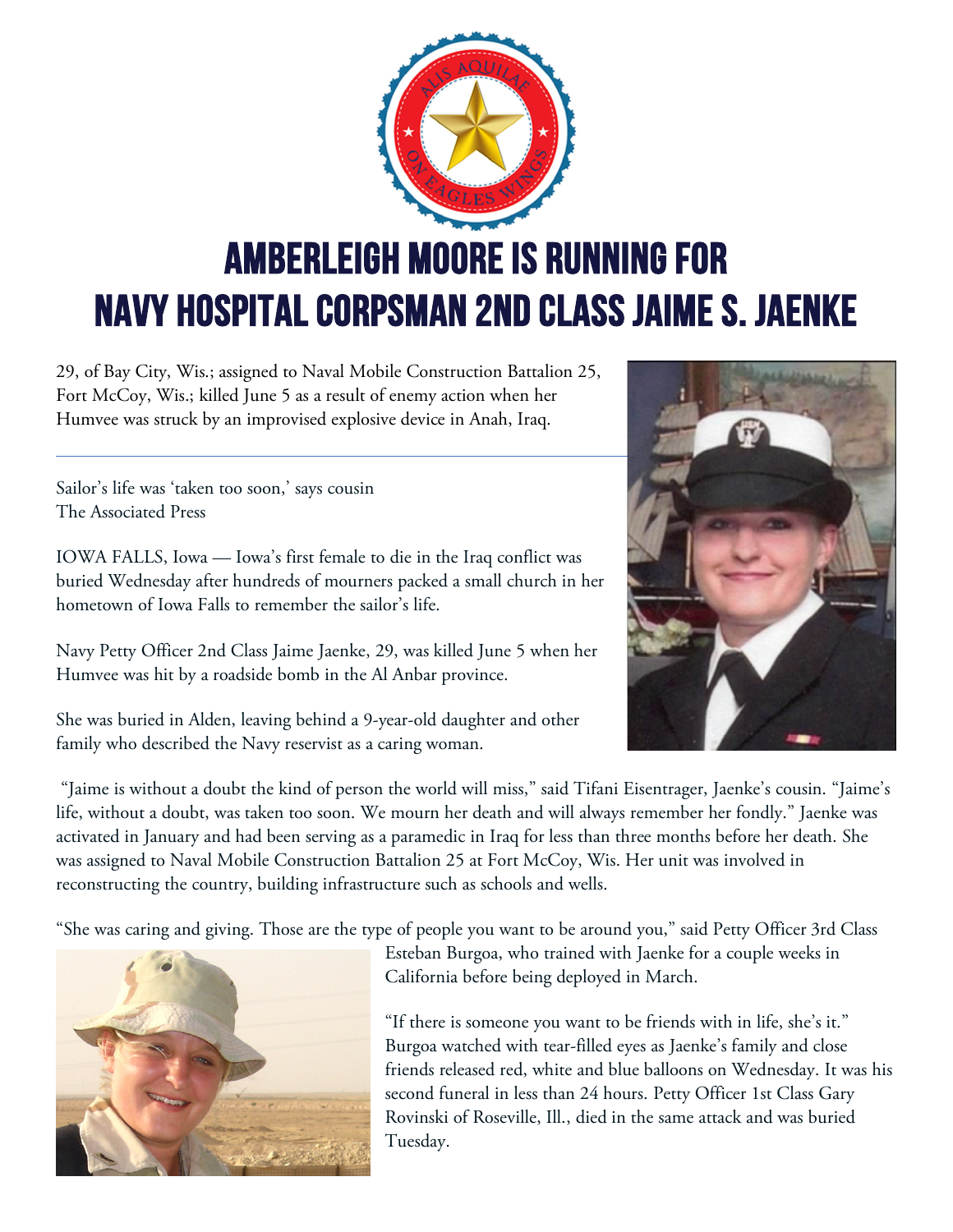## AMBERLEIGH MOORE is running for Navy Hospital Corpsman 2nd Class Jaime S. Jaenke

29, of Bay City, Wis.; assigned to Naval Mobile Construction Battalion 25, Fort McCoy, Wis.; killed June 5 as a result of enemy action when her Humvee was struck by an improvised explosive device in Anah, Iraq.

Sailor's life was 'taken too soon,' says cousin The Associated Press

IOWA FALLS, Iowa — Iowa's first female to die in the Iraq conflict was buried Wednesday after hundreds of mourners packed a small church in her hometown of Iowa Falls to remember the sailor's life.

Navy Petty Officer 2nd Class Jaime Jaenke, 29, was killed June 5 when her Humvee was hit by a roadside bomb in the Al Anbar province.

She was buried in Alden, leaving behind a 9-year-old daughter and other family who described the Navy reservist as a caring woman.

"Jaime is without a doubt the kind of person the world will miss," said Tifani Eisentrager, Jaenke's cousin. "Jaime's life, without a doubt, was taken too soon. We mourn her death and will always remember her fondly." Jaenke was activated in January and had been serving as a paramedic in Iraq for less than three months before her death. She was assigned to Naval Mobile Construction Battalion 25 at Fort McCoy, Wis. Her unit was involved in reconstructing the country, building infrastructure such as schools and wells.

"She was caring and giving. Those are the type of people you want to be around you," said Petty Officer 3rd Class



Esteban Burgoa, who trained with Jaenke for a couple weeks in California before being deployed in March.

"If there is someone you want to be friends with in life, she's it." Burgoa watched with tear-filled eyes as Jaenke's family and close friends released red, white and blue balloons on Wednesday. It was his second funeral in less than 24 hours. Petty Officer 1st Class Gary Rovinski of Roseville, Ill., died in the same attack and was buried Tuesday.